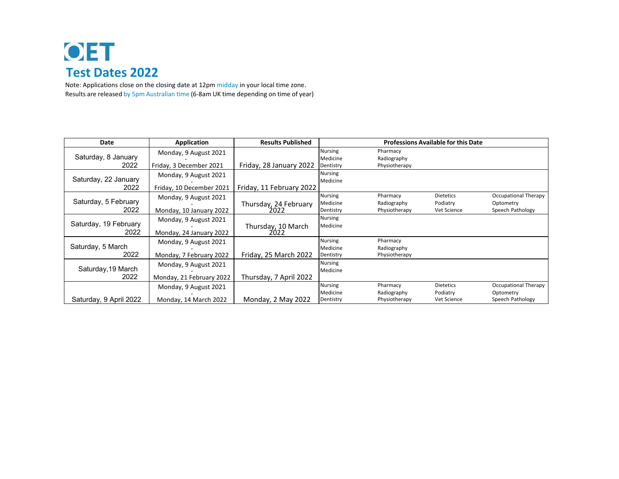## OET **Test Dates 2022**

Note: Applications close on the closing date at 12pm midday in your local time zone. Results are released by 5pm Australian time (6‐8am UK time depending on time of year)

| Date                          | Application                                       | <b>Results Published</b>      | <b>Professions Available for this Date</b> |                                          |                                             |                                                       |
|-------------------------------|---------------------------------------------------|-------------------------------|--------------------------------------------|------------------------------------------|---------------------------------------------|-------------------------------------------------------|
| Saturday, 8 January<br>2022   | Monday, 9 August 2021<br>Friday, 3 December 2021  | Friday, 28 January 2022       | <b>Nursing</b><br>Medicine<br>Dentistry    | Pharmacy<br>Radiography<br>Physiotherapy |                                             |                                                       |
| Saturday, 22 January<br>2022  | Monday, 9 August 2021<br>Friday, 10 December 2021 | Friday, 11 February 2022      | <b>Nursing</b><br>Medicine                 |                                          |                                             |                                                       |
| Saturday, 5 February<br>2022  | Monday, 9 August 2021<br>Monday, 10 January 2022  | Thursday, 24 February<br>2022 | <b>Nursing</b><br>Medicine<br>Dentistry    | Pharmacy<br>Radiography<br>Physiotherapy | <b>Dietetics</b><br>Podiatry<br>Vet Science | Occupational Therapy<br>Optometry<br>Speech Pathology |
| Saturday, 19 February<br>2022 | Monday, 9 August 2021<br>Monday, 24 January 2022  | Thursday, 10 March<br>2022    | <b>Nursing</b><br>Medicine                 |                                          |                                             |                                                       |
| Saturday, 5 March<br>2022     | Monday, 9 August 2021<br>Monday, 7 February 2022  | Friday, 25 March 2022         | <b>Nursing</b><br>Medicine<br>Dentistry    | Pharmacy<br>Radiography<br>Physiotherapy |                                             |                                                       |
| Saturday, 19 March<br>2022    | Monday, 9 August 2021<br>Monday, 21 February 2022 | Thursday, 7 April 2022        | <b>Nursing</b><br>Medicine                 |                                          |                                             |                                                       |
| Saturday, 9 April 2022        | Monday, 9 August 2021<br>Monday, 14 March 2022    | Monday, 2 May 2022            | Nursing<br>Medicine<br>Dentistry           | Pharmacy<br>Radiography<br>Physiotherapy | <b>Dietetics</b><br>Podiatry<br>Vet Science | Occupational Therapy<br>Optometry<br>Speech Pathology |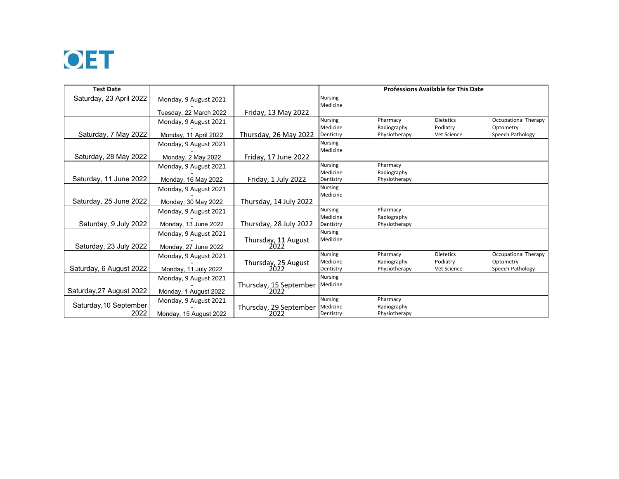

|                        |                                                                                                                                                                                                                                                                                                                                                     | Medicine                                                                                                                                                                                                                         |                                                                                                                                                                                                                                                             |                                                                                                                                       |                                                                                              |
|------------------------|-----------------------------------------------------------------------------------------------------------------------------------------------------------------------------------------------------------------------------------------------------------------------------------------------------------------------------------------------------|----------------------------------------------------------------------------------------------------------------------------------------------------------------------------------------------------------------------------------|-------------------------------------------------------------------------------------------------------------------------------------------------------------------------------------------------------------------------------------------------------------|---------------------------------------------------------------------------------------------------------------------------------------|----------------------------------------------------------------------------------------------|
| Tuesday, 22 March 2022 | Friday, 13 May 2022                                                                                                                                                                                                                                                                                                                                 |                                                                                                                                                                                                                                  |                                                                                                                                                                                                                                                             |                                                                                                                                       |                                                                                              |
|                        |                                                                                                                                                                                                                                                                                                                                                     | <b>Nursing</b>                                                                                                                                                                                                                   | Pharmacy                                                                                                                                                                                                                                                    | <b>Dietetics</b>                                                                                                                      | Occupational Therapy                                                                         |
|                        |                                                                                                                                                                                                                                                                                                                                                     | Medicine                                                                                                                                                                                                                         | Radiography                                                                                                                                                                                                                                                 | Podiatry                                                                                                                              | Optometry                                                                                    |
|                        |                                                                                                                                                                                                                                                                                                                                                     | Dentistry                                                                                                                                                                                                                        |                                                                                                                                                                                                                                                             |                                                                                                                                       | Speech Pathology                                                                             |
| Monday, 9 August 2021  |                                                                                                                                                                                                                                                                                                                                                     |                                                                                                                                                                                                                                  |                                                                                                                                                                                                                                                             |                                                                                                                                       |                                                                                              |
|                        |                                                                                                                                                                                                                                                                                                                                                     |                                                                                                                                                                                                                                  |                                                                                                                                                                                                                                                             |                                                                                                                                       |                                                                                              |
|                        |                                                                                                                                                                                                                                                                                                                                                     |                                                                                                                                                                                                                                  |                                                                                                                                                                                                                                                             |                                                                                                                                       |                                                                                              |
|                        |                                                                                                                                                                                                                                                                                                                                                     |                                                                                                                                                                                                                                  |                                                                                                                                                                                                                                                             |                                                                                                                                       |                                                                                              |
|                        |                                                                                                                                                                                                                                                                                                                                                     |                                                                                                                                                                                                                                  |                                                                                                                                                                                                                                                             |                                                                                                                                       |                                                                                              |
|                        |                                                                                                                                                                                                                                                                                                                                                     |                                                                                                                                                                                                                                  |                                                                                                                                                                                                                                                             |                                                                                                                                       |                                                                                              |
|                        |                                                                                                                                                                                                                                                                                                                                                     |                                                                                                                                                                                                                                  |                                                                                                                                                                                                                                                             |                                                                                                                                       |                                                                                              |
|                        |                                                                                                                                                                                                                                                                                                                                                     |                                                                                                                                                                                                                                  |                                                                                                                                                                                                                                                             |                                                                                                                                       |                                                                                              |
|                        |                                                                                                                                                                                                                                                                                                                                                     |                                                                                                                                                                                                                                  | Pharmacy                                                                                                                                                                                                                                                    |                                                                                                                                       |                                                                                              |
|                        |                                                                                                                                                                                                                                                                                                                                                     | Medicine                                                                                                                                                                                                                         |                                                                                                                                                                                                                                                             |                                                                                                                                       |                                                                                              |
| Monday, 13 June 2022   | Thursday, 28 July 2022                                                                                                                                                                                                                                                                                                                              | Dentistry                                                                                                                                                                                                                        | Physiotherapy                                                                                                                                                                                                                                               |                                                                                                                                       |                                                                                              |
|                        |                                                                                                                                                                                                                                                                                                                                                     | <b>Nursing</b>                                                                                                                                                                                                                   |                                                                                                                                                                                                                                                             |                                                                                                                                       |                                                                                              |
|                        |                                                                                                                                                                                                                                                                                                                                                     | Medicine                                                                                                                                                                                                                         |                                                                                                                                                                                                                                                             |                                                                                                                                       |                                                                                              |
| Monday, 27 June 2022   |                                                                                                                                                                                                                                                                                                                                                     |                                                                                                                                                                                                                                  |                                                                                                                                                                                                                                                             |                                                                                                                                       |                                                                                              |
| Monday, 9 August 2021  |                                                                                                                                                                                                                                                                                                                                                     |                                                                                                                                                                                                                                  | Pharmacy                                                                                                                                                                                                                                                    |                                                                                                                                       | Occupational Therapy                                                                         |
|                        |                                                                                                                                                                                                                                                                                                                                                     |                                                                                                                                                                                                                                  | Radiography                                                                                                                                                                                                                                                 | Podiatry                                                                                                                              | Optometry                                                                                    |
|                        |                                                                                                                                                                                                                                                                                                                                                     |                                                                                                                                                                                                                                  |                                                                                                                                                                                                                                                             |                                                                                                                                       | Speech Pathology                                                                             |
| Monday, 9 August 2021  |                                                                                                                                                                                                                                                                                                                                                     |                                                                                                                                                                                                                                  |                                                                                                                                                                                                                                                             |                                                                                                                                       |                                                                                              |
|                        |                                                                                                                                                                                                                                                                                                                                                     |                                                                                                                                                                                                                                  |                                                                                                                                                                                                                                                             |                                                                                                                                       |                                                                                              |
|                        |                                                                                                                                                                                                                                                                                                                                                     |                                                                                                                                                                                                                                  |                                                                                                                                                                                                                                                             |                                                                                                                                       |                                                                                              |
|                        |                                                                                                                                                                                                                                                                                                                                                     |                                                                                                                                                                                                                                  |                                                                                                                                                                                                                                                             |                                                                                                                                       |                                                                                              |
|                        |                                                                                                                                                                                                                                                                                                                                                     |                                                                                                                                                                                                                                  |                                                                                                                                                                                                                                                             |                                                                                                                                       |                                                                                              |
|                        | Monday, 9 August 2021<br>Monday, 9 August 2021<br>Monday, 11 April 2022<br>Monday, 2 May 2022<br>Monday, 9 August 2021<br>Monday, 16 May 2022<br>Monday, 9 August 2021<br>Monday, 30 May 2022<br>Monday, 9 August 2021<br>Monday, 9 August 2021<br>Monday, 11 July 2022<br>Monday, 1 August 2022<br>Monday, 9 August 2021<br>Monday, 15 August 2022 | Thursday, 26 May 2022<br>Friday, 17 June 2022<br>Friday, 1 July 2022<br>Thursday, 14 July 2022<br>Thursday, 11 August<br>2022<br>Thursday, 25 August<br>2022<br>Thursday, 15 September<br>2022<br>Thursday, 29 September<br>2022 | <b>Nursing</b><br><b>Nursing</b><br>Medicine<br><b>Nursing</b><br>Medicine<br>Dentistry<br><b>Nursing</b><br>Medicine<br><b>Nursing</b><br><b>Nursing</b><br>Medicine<br>Dentistry<br><b>Nursing</b><br>Medicine<br><b>Nursing</b><br>Medicine<br>Dentistry | Physiotherapy<br>Pharmacy<br>Radiography<br>Physiotherapy<br>Radiography<br>Physiotherapy<br>Pharmacy<br>Radiography<br>Physiotherapy | <b>Professions Available for This Date</b><br>Vet Science<br><b>Dietetics</b><br>Vet Science |